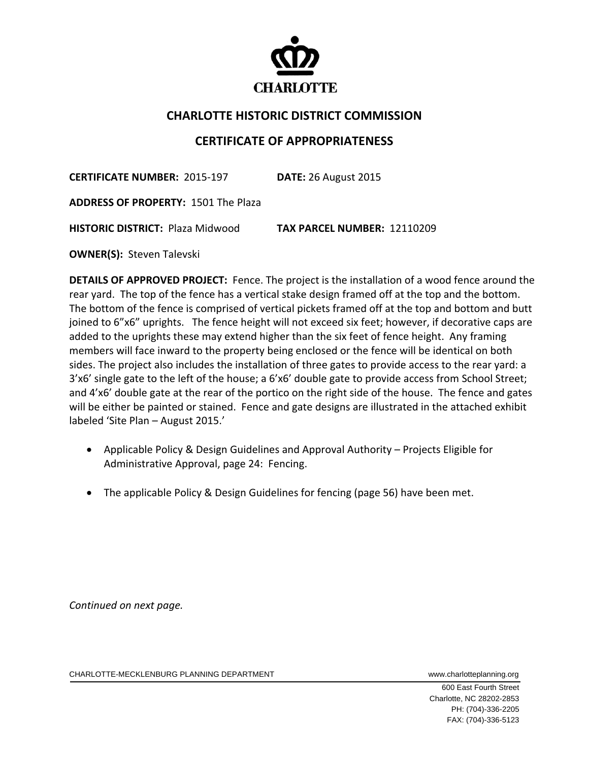

## **CHARLOTTE HISTORIC DISTRICT COMMISSION**

## **CERTIFICATE OF APPROPRIATENESS**

**CERTIFICATE NUMBER:** 2015‐197 **DATE:** 26 August 2015

**ADDRESS OF PROPERTY:** 1501 The Plaza

**HISTORIC DISTRICT:** Plaza Midwood **TAX PARCEL NUMBER:** 12110209

**OWNER(S): Steven Talevski** 

**DETAILS OF APPROVED PROJECT:** Fence. The project is the installation of a wood fence around the rear yard. The top of the fence has a vertical stake design framed off at the top and the bottom. The bottom of the fence is comprised of vertical pickets framed off at the top and bottom and butt joined to 6"x6" uprights. The fence height will not exceed six feet; however, if decorative caps are added to the uprights these may extend higher than the six feet of fence height. Any framing members will face inward to the property being enclosed or the fence will be identical on both sides. The project also includes the installation of three gates to provide access to the rear yard: a 3'x6' single gate to the left of the house; a 6'x6' double gate to provide access from School Street; and 4'x6' double gate at the rear of the portico on the right side of the house. The fence and gates will be either be painted or stained. Fence and gate designs are illustrated in the attached exhibit labeled 'Site Plan – August 2015.'

- Applicable Policy & Design Guidelines and Approval Authority Projects Eligible for Administrative Approval, page 24: Fencing.
- The applicable Policy & Design Guidelines for fencing (page 56) have been met.

*Continued on next page.*

CHARLOTTE-MECKLENBURG PLANNING DEPARTMENT WWWW.charlotteplanning.org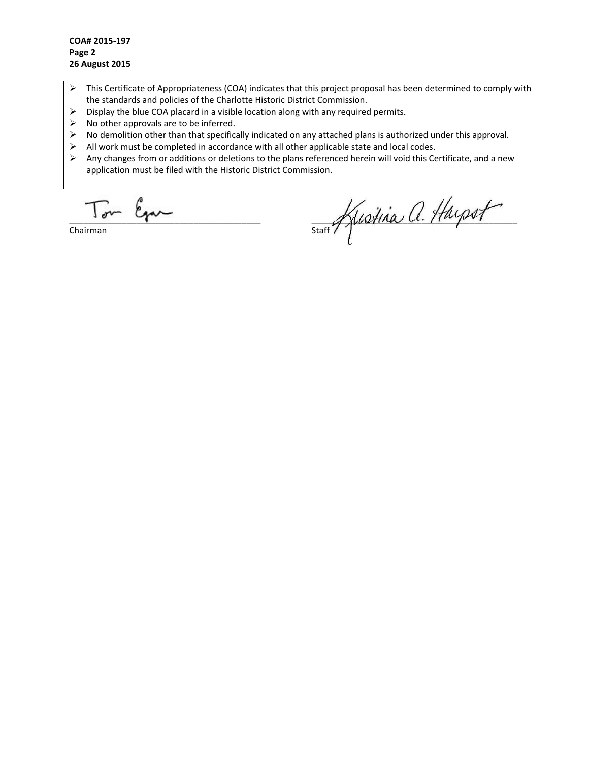- $\triangleright$  This Certificate of Appropriateness (COA) indicates that this project proposal has been determined to comply with the standards and policies of the Charlotte Historic District Commission.
- $\triangleright$  Display the blue COA placard in a visible location along with any required permits.
- $\triangleright$  No other approvals are to be inferred.
- $\triangleright$  No demolition other than that specifically indicated on any attached plans is authorized under this approval.
- $\triangleright$  All work must be completed in accordance with all other applicable state and local codes.<br> $\triangleright$  Any changes from or additions or deletions to the plans referenced herein will void this Ce
- Any changes from or additions or deletions to the plans referenced herein will void this Certificate, and a new application must be filed with the Historic District Commission.

 $\overline{a}$ Ega

Chairman

staff Kustina a. Hayset